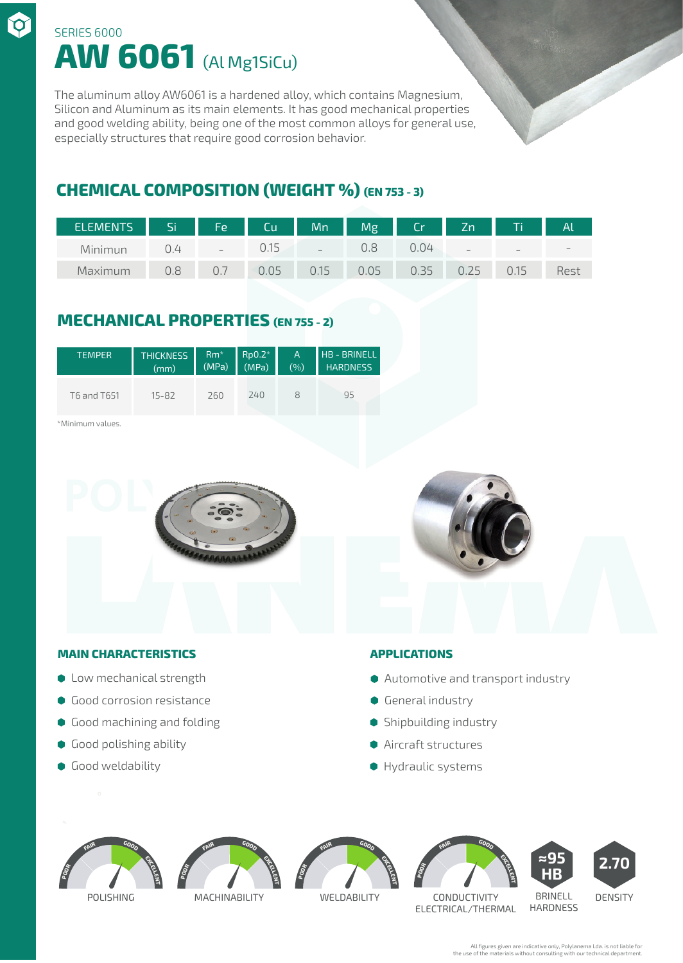# **AW 6061** (Al Mg1SiCu) SERIES 6000

The aluminum alloy AW6061 is a hardened alloy, which contains Magnesium, Silicon and Aluminum as its main elements. It has good mechanical properties and good welding ability, being one of the most common alloys for general use, especially structures that require good corrosion behavior.

## **CHEMICAL COMPOSITION (WEIGHT %) (EN 753 - 3)**

| ELEMENTS <sup>'</sup> | Si Si Sala | Fe | Cu    | Mn    | Mg   | Cr   | Zn                       | T    | $\mathsf{A}$ |
|-----------------------|------------|----|-------|-------|------|------|--------------------------|------|--------------|
| Minimun               | U.4        |    | 0.15. | $\!-$ | J.8  | ).N4 | $\overline{\phantom{0}}$ | $-$  |              |
| Maximum               | 0.8        |    | 0.05  | 0.15  | 0.05 | .35  | フト                       | U.I5 | Rest         |

## **MECHANICAL PROPERTIES (EN 755 - 2)**

| <b>TEMPER</b> | <b>THICKNESS</b> | $Rm*$ | $Rp0.2*$ | $\overline{A}$ | <b>HB-BRINELL</b> |
|---------------|------------------|-------|----------|----------------|-------------------|
|               | (mm)             | (MPa) | (MPa)    | (%)            | <b>HARDNESS</b>   |
| T6 and T651   | $15 - 82$        | 260   | 240      | Χ              | 95                |

\*Minimum values.

 $\bm{\varphi}$ 





### **MAIN CHARACTERISTICS APPLICATIONS**

- 
- **Good corrosion resistance**
- **Good machining and folding**
- **Good polishing ability**
- **Good weldability**

- $\bullet$  Low mechanical strength  $\bullet$  Automotive and transport industry
	- **General industry**
	- **Shipbuilding industry**
	- Aircraft structures
	- Hydraulic systems